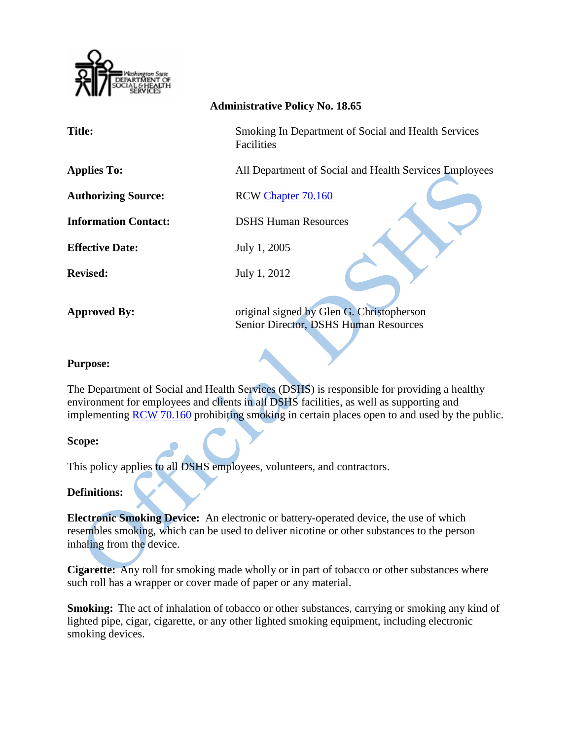

| $\sqrt{ }$ with $\sqrt{ }$  | <b>Administrative Policy No. 18.65</b>                                             |
|-----------------------------|------------------------------------------------------------------------------------|
| <b>Title:</b>               | Smoking In Department of Social and Health Services<br>Facilities                  |
| <b>Applies To:</b>          | All Department of Social and Health Services Employees                             |
| <b>Authorizing Source:</b>  | RCW Chapter 70.160                                                                 |
| <b>Information Contact:</b> | <b>DSHS Human Resources</b>                                                        |
| <b>Effective Date:</b>      | July 1, 2005                                                                       |
| <b>Revised:</b>             | July 1, 2012                                                                       |
| <b>Approved By:</b>         | original signed by Glen G. Christopherson<br>Senior Director, DSHS Human Resources |

## **Purpose:**

The Department of Social and Health Services (DSHS) is responsible for providing a healthy environment for employees and clients in all DSHS facilities, as well as supporting and implementing RCW [70.160](http://apps.leg.wa.gov/RCW/default.aspx?cite=70.160) prohibiting smoking in certain places open to and used by the public.

## **Scope:**

This policy applies to all DSHS employees, volunteers, and contractors.

## **Definitions:**

**Electronic Smoking Device:** An electronic or battery-operated device, the use of which resembles smoking, which can be used to deliver nicotine or other substances to the person inhaling from the device.

**Cigarette:**Any roll for smoking made wholly or in part of tobacco or other substances where such roll has a wrapper or cover made of paper or any material.

**Smoking:** The act of inhalation of tobacco or other substances, carrying or smoking any kind of lighted pipe, cigar, cigarette, or any other lighted smoking equipment, including electronic smoking devices.